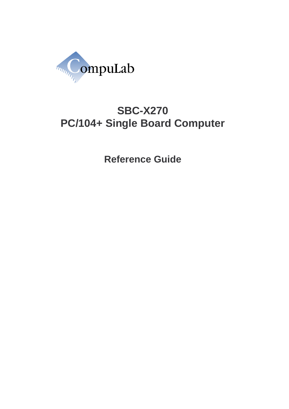

# **SBC-X270 PC/104+ Single Board Computer**

**Reference Guide**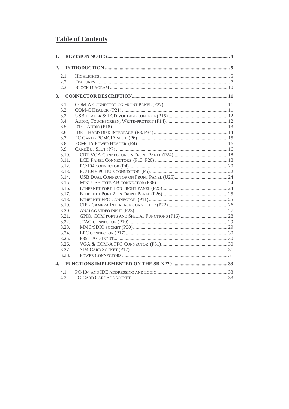# **Table of Contents**

| 1.           |       |  |
|--------------|-------|--|
| 2.           |       |  |
|              | 2.1.  |  |
|              | 2.2.  |  |
|              | 2.3.  |  |
| <b>3.</b>    |       |  |
|              | 3.1.  |  |
|              | 3.2.  |  |
|              | 3.3.  |  |
|              | 3.4.  |  |
|              | 3.5.  |  |
|              | 3.6.  |  |
|              | 3.7.  |  |
|              | 3.8.  |  |
|              | 3.9.  |  |
|              | 3.10. |  |
|              | 3.11. |  |
|              | 3.12. |  |
|              | 3.13. |  |
|              | 3.14. |  |
|              | 3.15. |  |
|              | 3.16. |  |
|              | 3.17. |  |
|              | 3.18. |  |
|              | 3.19. |  |
|              | 3.20. |  |
|              | 3.21. |  |
|              | 3.22. |  |
|              | 3.23. |  |
|              | 3.24. |  |
|              | 3.25. |  |
|              | 3.26. |  |
|              | 3.27. |  |
|              | 3.28. |  |
| $\mathbf{4}$ |       |  |
|              | 4.1.  |  |
|              | 4.2.  |  |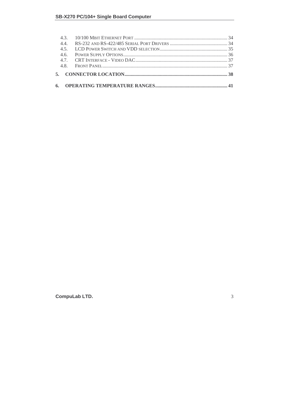### SB-X270 PC/104+ Single Board Computer

CompuLab LTD.

 $\mathfrak{Z}$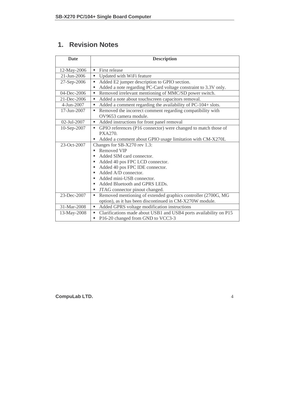# **1. Revision Notes**

| <b>Date</b> | <b>Description</b>                                                   |  |  |  |
|-------------|----------------------------------------------------------------------|--|--|--|
| 12-May-2006 | First release<br>٠                                                   |  |  |  |
| 21-Jun-2006 | Updated with WiFi feature                                            |  |  |  |
| 27-Sep-2006 | Added E2 jumper description to GPIO section.<br>٠                    |  |  |  |
|             | Added a note regarding PC-Card voltage constraint to 3.3V only.<br>٠ |  |  |  |
| 04-Dec-2006 | Removed irrelevant mentioning of MMC/SD power switch.<br>٠           |  |  |  |
| 21-Dec-2006 | Added a note about touchscreen capacitors removal.<br>٠              |  |  |  |
| 4-Jun-2007  | Added a comment regarding the availability of PC-104+ slots.         |  |  |  |
| 17-Jun-2007 | Removed the incorrect comment regarding compatibility with<br>٠      |  |  |  |
|             | OV9653 camera module.                                                |  |  |  |
| 02-Jul-2007 | Added instructions for front panel removal                           |  |  |  |
| 10-Sep-2007 | GPIO references (P16 connector) were changed to match those of<br>٠  |  |  |  |
|             | PXA270.                                                              |  |  |  |
|             | Added a comment about GPIO usage limitation with CM-X270L            |  |  |  |
| 23-Oct-2007 | Changes for SB-X270 rev 1.3:                                         |  |  |  |
|             | Removed VIP                                                          |  |  |  |
|             | Added SIM card connector.                                            |  |  |  |
|             | Added 40 pos FPC LCD connector.<br>٠                                 |  |  |  |
|             | Added 40 pos FPC IDE connector.<br>٠                                 |  |  |  |
|             | Added A/D connector.                                                 |  |  |  |
|             | Added mini-USB connector.<br>٠                                       |  |  |  |
|             | Added Bluetooth and GPRS LEDs.                                       |  |  |  |
|             | JTAG connector pinout changed.<br>٠                                  |  |  |  |
| 23-Dec-2007 | Removed mentioning of extended graphics controller (2700G, MG<br>٠   |  |  |  |
|             | option), as it has been discontinued in CM-X270W module.             |  |  |  |
| 31-Mar-2008 | Added GPRS voltage modification instructions<br>u,                   |  |  |  |
| 13-May-2008 | Clarifications made about USB1 and USB4 ports availability on P15    |  |  |  |
|             | P16-20 changed from GND to VCC3-3<br>٠                               |  |  |  |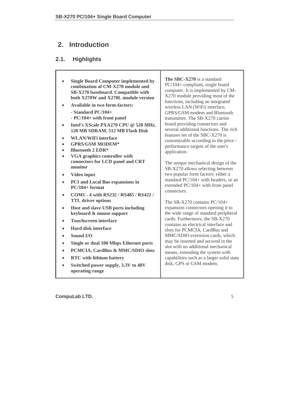# **2. Introduction**

# **2.1. Highlights**

|           | <b>Single Board Computer implemented by</b><br>combination of CM-X270 module and<br>SB-X270 baseboard. Compatible with<br>both X270W and X270L module version | The SBC-X270 is a standard<br>PC/104+ compliant, single board<br>computer. It is implemented by CM-<br>X270 module providing most of the<br>functions, including an integrated |
|-----------|---------------------------------------------------------------------------------------------------------------------------------------------------------------|--------------------------------------------------------------------------------------------------------------------------------------------------------------------------------|
|           | Available in two form-factors:                                                                                                                                | wireless LAN (WiFi) interface,                                                                                                                                                 |
|           | - Standard PC/104+<br>$- PC/104+$ with front panel                                                                                                            | GPRS/GSM modem and Bluetooth<br>transmitter. The SB-X270 carrier                                                                                                               |
|           | Intel's XScale PXA270 CPU @ 520 MHz,<br>128 MB SDRAM, 512 MB Flash Disk                                                                                       | board providing connectors and<br>several additional functions. The rich<br>features set of the SBC-X270 is                                                                    |
| $\bullet$ | <b>WLAN/WiFi interface</b><br><b>GPRS/GSM MODEM*</b><br><b>Bluetooth 2 EDR*</b>                                                                               | customizable according to the price /<br>performance targets of the user's<br>application.                                                                                     |
|           | VGA graphics controller with<br>connectors for LCD panel and CRT<br>monitor                                                                                   | The unique mechanical design of the<br>SB-X270 allows selecting between                                                                                                        |
| $\bullet$ | Video input                                                                                                                                                   | two popular form factors: either a<br>standard PC/104+ with headers, or an                                                                                                     |
|           | PCI and Local Bus expansions in<br>$PC/104 + format$                                                                                                          | extended PC/104+ with front panel<br>connectors.                                                                                                                               |
|           | COM1 - 4 with RS232 / RS485 / RS422 /                                                                                                                         |                                                                                                                                                                                |
|           | <b>TTL</b> driver options                                                                                                                                     | The SB-X270 contains $PC/104+$                                                                                                                                                 |
|           | <b>Host and slave USB ports including</b><br>keyboard & mouse support                                                                                         | expansion connectors opening it to<br>the wide range of standard peripheral                                                                                                    |
| $\bullet$ | <b>Touchscreen interface</b>                                                                                                                                  | cards. Furthermore, the SB-X270<br>contains an electrical interface and                                                                                                        |
| $\bullet$ | <b>Hard disk interface</b>                                                                                                                                    | slots for PCMCIA, CardBus and                                                                                                                                                  |
|           | Sound I/O                                                                                                                                                     | MMC/SDIO extension cards, which                                                                                                                                                |
|           | Single or dual 100 Mbps Ethernet ports                                                                                                                        | may be inserted and secured in the<br>slot with no additional mechanical                                                                                                       |
|           | PCMCIA, CardBus & MMC/SDIO slots                                                                                                                              | means, extending the system with                                                                                                                                               |
|           | <b>RTC</b> with lithium battery                                                                                                                               | capabilities such as a larger solid state                                                                                                                                      |
|           | Switched power supply, 3.3V to 48V<br>operating range                                                                                                         | disk, GPS or GSM modem.                                                                                                                                                        |
|           |                                                                                                                                                               |                                                                                                                                                                                |

 $\mathbf{I}$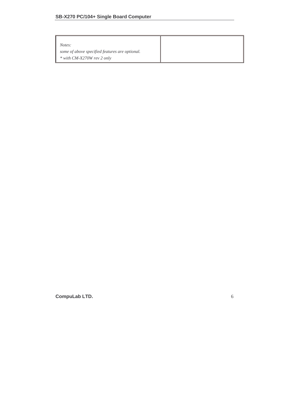| Notes:                                         |  |
|------------------------------------------------|--|
| some of above specified features are optional. |  |
| * with CM-X270W rev 2 only                     |  |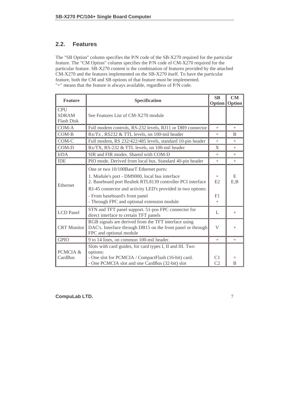### **2.2. Features**

The "SB Option" column specifies the P/N code of the SB-X270 required for the particular feature. The "CM Option" column specifies the P/N code of CM-X270 required for the particular feature. SB-X270 content is the combination of features provided by the attached CM-X270 and the features implemented on the SB-X270 itself. To have the particular feature, both the CM and SB options of that feature must be implemented. "+" means that the feature is always available, regardless of P/N code.

| <b>Feature</b>                                                                                                                                                       | <b>Specification</b>                                                                                                                                                                                                                                                                                   | SB                               | CM<br>Option   Option |  |
|----------------------------------------------------------------------------------------------------------------------------------------------------------------------|--------------------------------------------------------------------------------------------------------------------------------------------------------------------------------------------------------------------------------------------------------------------------------------------------------|----------------------------------|-----------------------|--|
| <b>CPU</b><br><b>SDRAM</b><br><b>Flash Disk</b>                                                                                                                      | See Features List of CM-X270 module                                                                                                                                                                                                                                                                    |                                  |                       |  |
| COM-A                                                                                                                                                                | Full modem controls, RS-232 levels, RJ11 or DB9 connector                                                                                                                                                                                                                                              | $^{+}$                           | $^{+}$                |  |
| COM-B                                                                                                                                                                | Rx/Tx, RS232 & TTL levels, on 100-mil header                                                                                                                                                                                                                                                           | $^{+}$                           | <sub>B</sub>          |  |
| COM-C                                                                                                                                                                | Full modem, RS 232/422/485 levels, standard 10-pin header                                                                                                                                                                                                                                              | $^{+}$                           | $^{+}$                |  |
| COM-D                                                                                                                                                                | Rx/TX, RS-232 & TTL levels, on 100-mil header                                                                                                                                                                                                                                                          | X                                | $^{+}$                |  |
| <b>IrDA</b>                                                                                                                                                          | SIR and FIR modes. Shared with COM-D                                                                                                                                                                                                                                                                   | $+$                              | $^{+}$                |  |
| <b>IDE</b>                                                                                                                                                           | PIO mode. Derived from local bus. Standard 40-pin header                                                                                                                                                                                                                                               | $^{+}$                           | $+$                   |  |
| Ethernet                                                                                                                                                             | One or two 10/100BaseT Ethernet ports:<br>1. Module's port - DM9000, local bus interface<br>2. Baseboard port Realtek RTL8139 controller PCI interface<br>RJ-45 connector and activity LED's provided in two options:<br>- From baseboard's front panel<br>- Through FPC and optional extension module | $^{+}$<br>E2<br>F1<br>$^{+}$     | E<br>E,B              |  |
| <b>LCD</b> Panel                                                                                                                                                     | STN and TFT panel support. 51-pos FPC connector for<br>direct interface to certain TFT panels                                                                                                                                                                                                          |                                  |                       |  |
| RGB signals are derived from the TFT interface using<br><b>CRT</b> Monitor<br>DAC's. Interface through DB15 on the front panel or through<br>FPC and optional module |                                                                                                                                                                                                                                                                                                        |                                  | $^{+}$                |  |
| <b>GPIO</b>                                                                                                                                                          | 9 to 14 lines, on common 100-mil header.                                                                                                                                                                                                                                                               |                                  |                       |  |
| PCMCIA &<br>CardBus                                                                                                                                                  | Slots with card guides, for card types I, II and III. Two<br>options:<br>- One slot for PCMCIA / CompactFlash (16-bit) card.<br>- One PCMCIA slot and one CardBus (32-bit) slot                                                                                                                        | C <sub>1</sub><br>C <sub>2</sub> | $\overline{B}$        |  |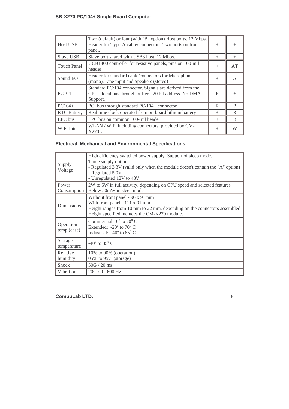| <b>Host USB</b>                                                              | Two (default) or four (with "B" option) Host ports, 12 Mbps.<br>Header for Type-A cable/ connector. Two ports on front<br>panel. | $^{+}$ | $^{+}$       |
|------------------------------------------------------------------------------|----------------------------------------------------------------------------------------------------------------------------------|--------|--------------|
| Slave USB                                                                    | Slave port shared with USB3 host, 12 Mbps.                                                                                       | $^{+}$ | $^{+}$       |
| <b>Touch Panel</b>                                                           | UCB1400 controller for resistive panels, pins on 100-mil<br>header                                                               |        |              |
| Sound I/O                                                                    | Header for standard cable/connectors for Microphone<br>(mono), Line input and Speakers (stereo)                                  |        | $\mathsf{A}$ |
| PC104                                                                        | Standard PC/104 connector. Signals are derived from the<br>CPU's local bus through buffers. 20 bit address. No DMA<br>Support.   | P      | $^{+}$       |
| $PC104+$                                                                     | PCI bus through standard PC/104+ connector                                                                                       | R      | B            |
| <b>RTC</b> Battery<br>Real time clock operated from on-board lithium battery |                                                                                                                                  | $^{+}$ | R            |
| LPC bus                                                                      | LPC bus on common 100-mil header                                                                                                 |        | B            |
| WiFi Interf                                                                  | WLAN / WiFi including connectors, provided by CM-<br><b>X270L</b>                                                                | $^{+}$ | W            |

# **Electrical, Mechanical and Environmental Specifications**

| Supply<br>Voltage        | High efficiency switched power supply. Support of sleep mode.<br>Three supply options:<br>- Regulated 3.3V (valid only when the module doesn't contain the "A" option)<br>- Regulated 5.0V<br>- Unregulated 12V to 48V |  |  |  |  |
|--------------------------|------------------------------------------------------------------------------------------------------------------------------------------------------------------------------------------------------------------------|--|--|--|--|
| Power<br>Consumption     | 2W to 5W in full activity, depending on CPU speed and selected features<br>Below 50mW in sleep mode                                                                                                                    |  |  |  |  |
| <b>Dimensions</b>        | Without front panel - 96 x 91 mm<br>With front panel - $111 \times 91$ mm<br>Height ranges from 10 mm to 22 mm, depending on the connectors assembled.<br>Height specified includes the CM-X270 module.                |  |  |  |  |
| Operation<br>temp (case) | Commercial: $0^{\circ}$ to $70^{\circ}$ C<br>Extended: $-20^{\circ}$ to $70^{\circ}$ C<br>Industrial: $-40^{\circ}$ to 85 $^{\circ}$ C                                                                                 |  |  |  |  |
| Storage<br>temperature   | $-40^{\circ}$ to $85^{\circ}$ C                                                                                                                                                                                        |  |  |  |  |
| Relative<br>humidity     | 10\% to 90\% (operation)<br>05% to 95% (storage)                                                                                                                                                                       |  |  |  |  |
| <b>Shock</b>             | $50G / 20$ ms                                                                                                                                                                                                          |  |  |  |  |
| Vibration                | $20G / 0 - 600 Hz$                                                                                                                                                                                                     |  |  |  |  |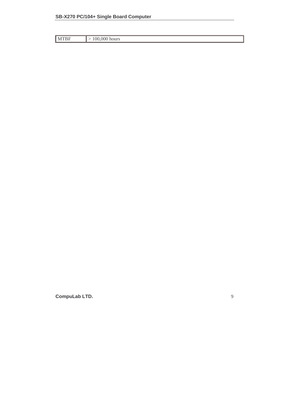$MTBF$  > 100,000 hours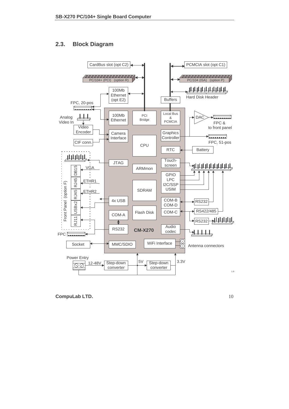# **2.3. Block Diagram**

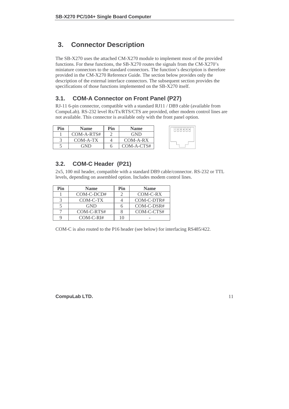# **3. Connector Description**

The SB-X270 uses the attached CM-X270 module to implement most of the provided functions. For these functions, the SB-X270 routes the signals from the CM-X270's miniature connectors to the standard connectors. The function's description is therefore provided in the CM-X270 Reference Guide. The section below provides only the description of the external interface connectors. The subsequent section provides the specifications of those functions implemented on the SB-X270 itself.

# **3.1. COM-A Connector on Front Panel (P27)**

RJ-11 6-pin connector, compatible with a standard RJ11 / DB9 cable (available from CompuLab). RS-232 level Rx/Tx/RTS/CTS are provided, other modem control lines are not available. This connector is available only with the front panel option.

| Pin | <b>Name</b>  | Pin | <b>Name</b> |
|-----|--------------|-----|-------------|
|     | $COM-A-RTS#$ |     | GND         |
|     | COM-A-TX     |     | COM-A-RX    |
|     | GND          |     | COM-A-CTS#  |

| 3 | 6<br>$\mathfrak{s}$<br>¦4 |  |
|---|---------------------------|--|
|   |                           |  |
|   |                           |  |

# **3.2. COM-C Header (P21)**

2x5, 100 mil header, compatible with a standard DB9 cable/connector. RS-232 or TTL levels, depending on assembled option. Includes modem control lines.

| Pin | <b>Name</b> | Pin | <b>Name</b> |
|-----|-------------|-----|-------------|
|     | COM-C-DCD#  |     | COM-C-RX    |
|     | COM-C-TX    |     | COM-C-DTR#  |
|     | <b>GND</b>  |     | COM-C-DSR#  |
|     | COM-C-RTS#  |     | COM-C-CTS#  |
|     | $COM-C-RI#$ |     |             |

COM-C is also routed to the P16 header (see below) for interfacing RS485/422.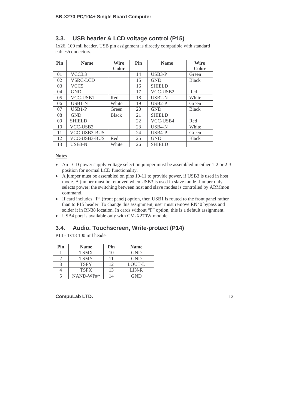# **3.3. USB header & LCD voltage control (P15)**

1x26, 100 mil header. USB pin assignment is directly compatible with standard cables/connectors.

| Pin            | <b>Name</b>   | <b>Wire</b>  | Pin | <b>Name</b>   | <b>Wire</b>  |
|----------------|---------------|--------------|-----|---------------|--------------|
|                |               | <b>Color</b> |     |               | <b>Color</b> |
| 0 <sub>1</sub> | VCC3.3        |              | 14  | $USB3-P$      | Green        |
| 02             | VSRC-LCD      |              | 15  | <b>GND</b>    | <b>Black</b> |
| 03             | VCC5          |              | 16  | <b>SHIELD</b> |              |
| 04             | <b>GND</b>    |              | 17  | VCC-USB2      | Red          |
| 0.5            | VCC-USB1      | Red          | 18  | $USB2-N$      | White        |
| 06             | $USB1-N$      | White        | 19  | $USB2-P$      | Green        |
| 07             | $USB1-P$      | Green        | 20  | <b>GND</b>    | <b>Black</b> |
| 08             | <b>GND</b>    | <b>Black</b> | 21  | <b>SHIELD</b> |              |
| 09             | <b>SHIELD</b> |              | 22  | VCC-USB4      | Red          |
| 10             | VCC-USB3      |              | 23  | USB4-N        | White        |
| 11             | VCC-USB3-BUS  |              | 24  | $USB4-P$      | Green        |
| 12             | VCC-USB3-BUS  | Red          | 25  | <b>GND</b>    | <b>Black</b> |
| 13             | USB3-N        | White        | 26  | <b>SHIELD</b> |              |

#### **Notes**

- An LCD power supply voltage selection jumper must be assembled in either 1-2 or 2-3 position for normal LCD functionality.
- A jumper must be assembled on pins 10-11 to provide power, if USB3 is used in host mode. A jumper must be removed when USB3 is used in slave mode. Jumper only selects power; the switching between host and slave modes is controlled by ARMmon command.
- If card includes "F" (front panel) option, then USB1 is routed to the front panel rather than to P15 header. To change this assignment, user must remove RN40 bypass and solder it in RN38 location. In cards without "F" option, this is a default assignment.
- USB4 port is available only with CM-X270W module.

### **3.4. Audio, Touchscreen, Write-protect (P14)**

P14 - 1x18 100 mil header

| Pin | <b>Name</b> | Pin | <b>Name</b> |
|-----|-------------|-----|-------------|
|     | <b>TSMX</b> | 10  | <b>GND</b>  |
|     | <b>TSMY</b> |     | GND         |
|     | <b>TSPY</b> | 12  | LOUT-L      |
|     | <b>TSPX</b> | 13  | LIN-R       |
|     | $NAND-WP#*$ | 14  | GND         |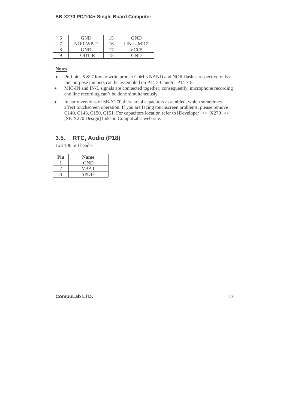|   | <b>GND</b> | 15 | <b>GND</b>    |
|---|------------|----|---------------|
|   | $NOR-WP#*$ | 16 | $LIN-L-MIC^*$ |
|   | <b>GND</b> |    | VCC5          |
| q | LOUT-R     | 18 | GND           |

#### **Notes**

- Pull pins 5 & 7 low to write protect CoM's NAND and NOR flashes respectively. For this purpose jumpers can be assembled on P14 5-6 and/or P14 7-8.
- MIC-IN and IN-L signals are connected together; consequently, microphone recording and line recording can't be done simultaneously.
- In early versions of SB-X270 there are 4 capacitors assembled, which sometimes affect touchscreen operation. If you are facing touchscreen problems, please remove C140, C143, C150, C151. For capacitors location refer to [Developer]  $\gg$  [X270]  $\gg$ [SB-X270 Design] links in CompuLab's web-site.

### **3.5. RTC, Audio (P18)**

1x3 100 mil header

| Pin | <b>Name</b>  |
|-----|--------------|
|     | <b>GND</b>   |
|     | <b>VBAT</b>  |
|     | <b>SPDIF</b> |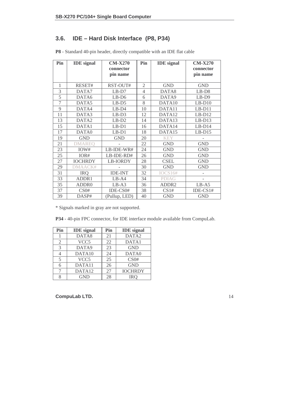# **3.6. IDE – Hard Disk Interface (P8, P34)**

| Pin | <b>IDE</b> signal | <b>CM-X270</b> | Pin            | <b>IDE</b> signal  | <b>CM-X270</b> |
|-----|-------------------|----------------|----------------|--------------------|----------------|
|     |                   | connector      |                |                    | connector      |
|     |                   | pin name       |                |                    | pin name       |
|     |                   |                |                |                    |                |
| 1   | RESET#            | RST-OUT#       | $\overline{2}$ | <b>GND</b>         | <b>GND</b>     |
| 3   | DATA7             | $LB-D7$        | $\overline{4}$ | DATA8              | $LB-DS$        |
| 5   | DATA6             | $LB-D6$        | 6              | DATA9              | $LB-D9$        |
| 7   | DATA5             | $LB-D5$        | 8              | DATA10             | $LB-D10$       |
| 9   | DATA4             | $LB-D4$        | 10             | DATA11             | $LB-D11$       |
| 11  | DATA3             | $LB-D3$        | 12             | DATA <sub>12</sub> | $LB-D12$       |
| 13  | DATA <sub>2</sub> | $LB-D2$        | 14             | DATA13             | $LB-D13$       |
| 15  | DATA1             | $LB-D1$        | 16             | DATA14             | $LB-D14$       |
| 17  | DATA0             | $LB-D1$        | 18             | DATA15             | $LB-D15$       |
| 19  | <b>GND</b>        | <b>GND</b>     | 20             | <b>KEY</b>         |                |
| 21  | <b>DMAREO</b>     |                | 22             | <b>GND</b>         | <b>GND</b>     |
| 23  | IOW#              | LB-IDE-WR#     | 24             | <b>GND</b>         | <b>GND</b>     |
| 25  | IOR#              | LB-IDE-RD#     | 26             | <b>GND</b>         | <b>GND</b>     |
| 27  | <b>IOCHRDY</b>    | LB-IORDY       | 28             | <b>CSEL</b>        | <b>GND</b>     |
| 29  | <b>DMAACK#</b>    |                | 30             | <b>GND</b>         | <b>GND</b>     |
| 31  | <b>IRQ</b>        | <b>IDE-INT</b> | 32             | IOCS16#            |                |
| 33  | ADDR1             | $LB-AA$        | 34             | <b>PDIAG</b>       |                |
| 35  | ADDR <sub>0</sub> | $LB-A3$        | 36             | ADDR <sub>2</sub>  | $LB-AS$        |
| 37  | CS0#              | $IDE-CS0#$     | 38             | CS1#               | $IDE-CSI#$     |
| 39  | DASP#             | (Pullup, LED)  | 40             | <b>GND</b>         | <b>GND</b>     |

**P8** - Standard 40-pin header, directly compatible with an IDE flat cable

\* Signals marked in gray are not supported.

**P34** - 40-pin FPC connector, for IDE interface module available from CompuLab.

| Pin | <b>IDE</b> signal | Pin | <b>IDE</b> signal |
|-----|-------------------|-----|-------------------|
|     | DATA8             | 21  | DATA <sub>2</sub> |
| 2   | VCC <sub>5</sub>  | 22  | DATA1             |
| 3   | DATA9             | 23  | <b>GND</b>        |
| 4   | DATA10            | 24  | DATA0             |
| 5   | VCC <sub>5</sub>  | 25  | CS <sub>0#</sub>  |
| 6   | DATA11            | 26  | <b>GND</b>        |
|     | DATA12            | 27  | <b>IOCHRDY</b>    |
| 8   | <b>GND</b>        | 28  | IRC               |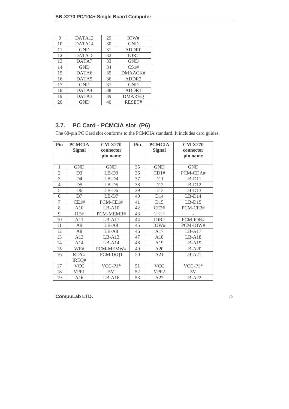| 9  | DATA13            | 29 | IOW#              |
|----|-------------------|----|-------------------|
| 10 | DATA14            | 30 | <b>GND</b>        |
| 11 | <b>GND</b>        | 31 | ADDR <sub>0</sub> |
| 12 | DATA15            | 32 | IOR#              |
| 13 | DATA7             | 33 | <b>GND</b>        |
| 14 | <b>GND</b>        | 34 | CS1#              |
| 15 | DATA6             | 35 | DMAACK#           |
| 16 | DATA <sub>5</sub> | 36 | ADDR <sub>2</sub> |
| 17 | <b>GND</b>        | 37 | <b>GND</b>        |
| 18 | DATA4             | 38 | ADDR1             |
| 19 | DATA3             | 39 | <b>DMAREO</b>     |
| 20 | <b>GND</b>        | 40 | RESET#            |

# **3.7. PC Card - PCMCIA slot (P6)**

The 68-pin PC Card slot conforms to the PCMCIA standard. It includes card guides.

| Pin            | <b>PCMCIA</b>  | $CM-X270$  | Pin | <b>PCMCIA</b>    | $CM-X270$  |
|----------------|----------------|------------|-----|------------------|------------|
|                | <b>Signal</b>  | connector  |     | <b>Signal</b>    | connector  |
|                |                | pin name   |     |                  | pin name   |
|                |                |            |     |                  |            |
| 1              | <b>GND</b>     | <b>GND</b> | 35  | <b>GND</b>       | <b>GND</b> |
| $\overline{2}$ | D <sub>3</sub> | $LB-D3$    | 36  | CD1#             | PCM-CDA#   |
| 3              | D <sub>4</sub> | $LB-D4$    | 37  | D11              | $LB-D11$   |
| $\overline{4}$ | D <sub>5</sub> | $LB-D5$    | 38  | D <sub>12</sub>  | $LB-D12$   |
| 5              | D <sub>6</sub> | $LB-D6$    | 39  | D13              | $LB-D13$   |
| 6              | D7             | $LB-D7$    | 40  | D14              | $LB-D14$   |
| 7              | CE1#           | PCM-CE1#   | 41  | D15              | $LB-D15$   |
| 8              | A10            | $LB- A10$  | 42  | CE2#             | PCM-CE2#   |
| 9              | OE#            | PCM-MEMR#  | 43  | VS1#             |            |
| 10             | A11            | $LB-A11$   | 44  | IOR#             | PCM-IOR#   |
| 11             | A <sub>9</sub> | $LB-49$    | 45  | IOW#             | PCM-IOW#   |
| 12             | A8             | $LB-AS$    | 46  | A17              | $LB-Al7$   |
| 13             | A13            | $LB-A13$   | 47  | A18              | $LB-A18$   |
| 14             | A14            | $LB-A14$   | 48  | A19              | $LB-Al9$   |
| 15             | WE#            | PCM-MEMW#  | 49  | A20              | $LB-A20$   |
| 16             | RDY#           | PCM-IRQ1   | 50  | A21              | $LB-A21$   |
|                | IREQ#          |            |     |                  |            |
| 17             | <b>VCC</b>     | $VCC-P1*$  | 51  | <b>VCC</b>       | $VCC-P1*$  |
| 18             | VPP1           | 5V         | 52  | VPP <sub>2</sub> | 5V         |
| 19             | A16            | $LB-Al6$   | 53  | A22              | $LB- A22$  |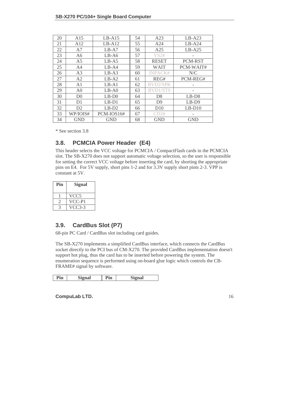| 20 | A15            | $LB-415$   | 54 | A23             | $LB-423$       |
|----|----------------|------------|----|-----------------|----------------|
| 21 | A12            | $LB- A12$  | 55 | A24             | $LB-A24$       |
| 22 | A <sub>7</sub> | $LB- A7$   | 56 | A25             | $LB-425$       |
| 23 | A6             | $LB-AG$    | 57 | VS2#            |                |
| 24 | A <sub>5</sub> | $LB-AS$    | 58 | <b>RESET</b>    | <b>PCM-RST</b> |
| 25 | A4             | $LB-AA$    | 59 | <b>WAIT</b>     | PCM-WAIT#      |
| 26 | A <sub>3</sub> | $LB- A3$   | 60 | <b>INPACK#</b>  | N/C            |
| 27 | A <sub>2</sub> | $LB-A2$    | 61 | REG#            | PCM-REG#       |
| 28 | A <sub>1</sub> | $LB-A1$    | 62 | <b>BVD2/SPK</b> |                |
| 29 | A <sub>0</sub> | $LB-A0$    | 63 | <b>BVD1/STS</b> |                |
| 30 | D <sub>0</sub> | $LB-D0$    | 64 | D <sub>8</sub>  | $LB-DS$        |
| 31 | D1             | $LB-D1$    | 65 | D <sup>9</sup>  | $LB-D9$        |
| 32 | D2             | $LB-D2$    | 66 | D10             | $LB-D10$       |
| 33 | WP/IOIS#       | PCM-IOS16# | 67 | CD2#            |                |
| 34 | <b>GND</b>     | <b>GND</b> | 68 | <b>GND</b>      | <b>GND</b>     |

\* See section 3.8

### **3.8. PCMCIA Power Header (E4)**

This header selects the VCC voltage for PCMCIA / CompactFlash cards in the PCMCIA slot. The SB-X270 does not support automatic voltage selection, so the user is responsible for setting the correct VCC voltage before inserting the card, by shorting the appropriate pins on E4. For 5V supply, short pins 1-2 and for 3.3V supply short pints 2-3. VPP is constant at 5V.

| Pin | Signal |
|-----|--------|
|     | VCC5   |
|     | VCC-P1 |
|     | VCC3-3 |

# **3.9. CardBus Slot (P7)**

68-pin PC Card / CardBus slot including card guides.

The SB-X270 implements a simplified CardBus interface, which connects the CardBus socket directly to the PCI bus of CM-X270. The provided CardBus implementation doesn't support hot plug, thus the card has to be inserted before powering the system. The enumeration sequence is performed using on-board glue logic which controls the CB-FRAME# signal by software.

| $\mathbf{v}_{\text{in}}$<br>Signal<br>Signal<br>Pin |
|-----------------------------------------------------|
|-----------------------------------------------------|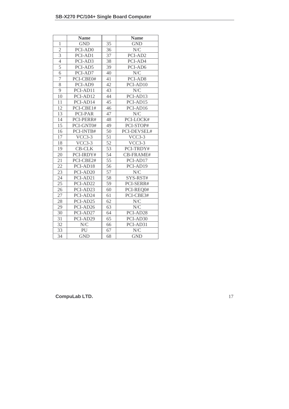|                 | <b>Name</b>          |    | <b>Name</b>      |
|-----------------|----------------------|----|------------------|
| $\mathbf{1}$    | <b>GND</b>           | 35 | <b>GND</b>       |
| $\overline{c}$  | PCI-AD0              | 36 | N/C              |
| $\overline{3}$  | PCI-AD1              | 37 | PCI-AD2          |
| $\overline{4}$  | PCI-AD3              | 38 | PCI-AD4          |
| $\overline{5}$  | PCI-AD5              | 39 | PCI-AD6          |
| 6               | PCI-AD7              | 40 | N/C              |
| 7               | PCI-CBE0#            | 41 | PCI-AD8          |
| $\overline{8}$  | PCI-AD9              | 42 | PCI-AD10         |
| 9               | PCI-AD11             | 43 | N/C              |
| 10              | PCI-AD12             | 44 | PCI-AD13         |
| 11              | PCI-AD14             | 45 | PCI-AD15         |
| 12              | PCI-CBE1#            | 46 | PCI-AD16         |
| 13              | PCI-PAR              | 47 | N/C              |
| 14              | PCI-PERR#            | 48 | PCI-LOCK#        |
| 15              | PCI-GNT0#            | 49 | PCI-STOP#        |
| 16              | PCI-INTB#            | 50 | PCI-DEVSEL#      |
| 17              | $VCC3-3$             | 51 | $VCC3-3$         |
| 18              | $VCC3-3$             | 52 | $VCC3-3$         |
| 19              | <b>CB-CLK</b>        | 53 | PCI-TRDY#        |
| 20              | PCI-IRDY#            | 54 | <b>CB-FRAME#</b> |
| 21              | PCI-CBE2#            | 55 | PCI-AD17         |
| 22              | PCI-AD18             | 56 | PCI-AD19         |
| 23              | PCI-AD <sub>20</sub> | 57 | N/C              |
| 24              | PCI-AD21             | 58 | SYS-RST#         |
| 25              | PCI-AD22             | 59 | PCI-SERR#        |
| 26              | PCI-AD23             | 60 | PCI-REQ0#        |
| 27              | PCI-AD24             | 61 | PCI-CBE3#        |
| 28              | PCI-AD25             | 62 | N/C              |
| 29              | PCI-AD26             | 63 | N/C              |
| 30              | PCI-AD27             | 64 | PCI-AD28         |
| 31              | PCI-AD29             | 65 | PCI-AD30         |
| 32              | ${\rm N/C}$          | 66 | PCI-AD31         |
| 33              | PU                   | 67 | N/C              |
| $\overline{34}$ | <b>GND</b>           | 68 | <b>GND</b>       |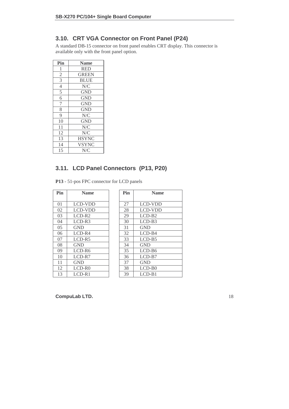# **3.10. CRT VGA Connector on Front Panel (P24)**

A standard DB-15 connector on front panel enables CRT display. This connector is available only with the front panel option.

| Pin            | <b>Name</b>  |
|----------------|--------------|
| 1              | <b>RED</b>   |
| $\overline{2}$ | <b>GREEN</b> |
| $\overline{3}$ | <b>BLUE</b>  |
| $\overline{4}$ | N/C          |
| $\overline{5}$ | <b>GND</b>   |
| $\overline{6}$ | <b>GND</b>   |
| $\overline{7}$ | <b>GND</b>   |
| 8              | <b>GND</b>   |
| 9              | N/C          |
| 10             | <b>GND</b>   |
| 11             | N/C          |
| 12             | N/C          |
| 13             | <b>HSYNC</b> |
| 14             | <b>VSYNC</b> |
| 15             | N/C          |

# **3.11. LCD Panel Connectors (P13, P20)**

| P13 - 51-pos FPC connector for LCD panels |
|-------------------------------------------|
|-------------------------------------------|

| Pin            | <b>Name</b>        | Pin | <b>Name</b>    |
|----------------|--------------------|-----|----------------|
|                |                    |     |                |
| 01             | LCD-VDD            | 27  | <b>LCD-VDD</b> |
| 02             | LCD-VDD            | 28  | LCD-VDD        |
| 03             | $LCD-R2$           | 29  | $LCD-B2$       |
| 04             | $LCD-R3$           | 30  | $LCD-B3$       |
| 0 <sub>5</sub> | <b>GND</b>         | 31  | <b>GND</b>     |
| 06             | LCD-R4             | 32  | $LCD-B4$       |
| 07             | $LCD-R5$           | 33  | $LCD-B5$       |
| 08             | <b>GND</b>         | 34  | <b>GND</b>     |
| 09             | LCD-R <sub>6</sub> | 35  | $LCD-6$        |
| 10             | $LCD-R7$           | 36  | $LCD-B7$       |
| 11             | <b>GND</b>         | 37  | <b>GND</b>     |
| 12             | $LCD-R0$           | 38  | $LCD-B0$       |
| 13             | $LCD-R1$           | 39  | $LCD-B1$       |

| Pin | <b>Name</b>    |
|-----|----------------|
| 27  | LCD-VDD        |
| 28  | <b>LCD-VDD</b> |
| 29  | $LCD-B2$       |
| 30  | $LCD-B3$       |
| 31  | GND            |
| 32  | $LCD-B4$       |
| 33  | $LCD-B5$       |
| 34  | GND            |
| 35  | $LCD-6$        |
| 36  | $LCD-B7$       |
| 37  | <b>GND</b>     |
| 38  | $LCD-B0$       |
| 39  | $LCD-B1$       |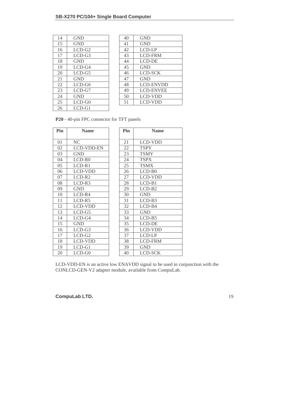| 14 | <b>GND</b> | 40 | <b>GND</b>      |
|----|------------|----|-----------------|
| 15 | <b>GND</b> | 41 | <b>GND</b>      |
| 16 | $LCD-G2$   | 42 | LCD-LP          |
| 17 | $LCD-G3$   | 43 | <b>LCD-FRM</b>  |
| 18 | <b>GND</b> | 44 | <b>LCD-DE</b>   |
| 19 | $LCD-G4$   | 45 | <b>GND</b>      |
| 20 | $LCD-G5$   | 46 | <b>LCD-SCK</b>  |
| 21 | <b>GND</b> | 47 | <b>GND</b>      |
| 22 | $LCD-G6$   | 48 | <b>LCD-ENVI</b> |
| 23 | $LCD-G7$   | 49 | <b>LCD-ENVE</b> |
| 24 | <b>GND</b> | 50 | LCD-VDD         |
| 25 | $LCD-G0$   | 51 | LCD-VDD         |
| 26 | $LCD-GI$   |    |                 |

| 14 | <b>GND</b> | 40 | <b>GND</b>       |
|----|------------|----|------------------|
| 15 | <b>GND</b> | 41 | <b>GND</b>       |
| 16 | $LCD-G2$   | 42 | LCD-LP           |
| 17 | $LCD-G3$   | 43 | <b>LCD-FRM</b>   |
| 18 | <b>GND</b> | 44 | LCD-DE           |
| 19 | $LCD-G4$   | 45 | <b>GND</b>       |
| 20 | $LCD-G5$   | 46 | <b>LCD-SCK</b>   |
| 21 | <b>GND</b> | 47 | <b>GND</b>       |
| 22 | $LCD-G6$   | 48 | <b>LCD-ENVDD</b> |
| 23 | $LCD-G7$   | 49 | <b>LCD-ENVEE</b> |
| 24 | <b>GND</b> | 50 | <b>LCD-VDD</b>   |
| 25 | $LCD-G0$   | 51 | <b>LCD-VDD</b>   |
|    |            |    |                  |

**P20** - 40-pin FPC connector for TFT panels

| Pin | <b>Name</b>       | Pin | <b>Name</b>    |
|-----|-------------------|-----|----------------|
|     |                   |     |                |
| 01  | NC                | 21  | LCD-VDD        |
| 02  | <b>LCD-VDD-EN</b> | 22  | <b>TSPY</b>    |
| 03  | <b>GND</b>        | 23  | <b>TSMY</b>    |
| 04  | $LCD-R0$          | 24  | <b>TSPX</b>    |
| 05  | $LCD-R1$          | 25  | <b>TSMX</b>    |
| 06  | <b>LCD-VDD</b>    | 26  | $LCD-BO$       |
| 07  | LCD-R2            | 27  | <b>LCD-VDD</b> |
| 08  | $LCD-R3$          | 28  | $LCD-B1$       |
| 09  | GND               | 29  | $LCD-B2$       |
| 10  | LCD-R4            | 30  | <b>GND</b>     |
| 11  | $LCD-R5$          | 31  | $LCD-B3$       |
| 12  | <b>LCD-VDD</b>    | 32  | $LCD-B4$       |
| 13  | $LCD-G5$          | 33  | <b>GND</b>     |
| 14  | $LCD-G4$          | 34  | $LCD-B5$       |
| 15  | <b>GND</b>        | 35  | LCD-DE         |
| 16  | $LCD-G3$          | 36  | <b>LCD-VDD</b> |
| 17  | $LCD-G2$          | 37  | LCD-LP         |
| 18  | <b>LCD-VDD</b>    | 38  | <b>LCD-FRM</b> |
| 19  | $LCD-G1$          | 39  | <b>GND</b>     |
| 20  | $LCD-G0$          | 40  | <b>LCD-SCK</b> |

LCD-VDD-EN is an active low ENAVDD signal to be used in conjunction with the CONLCD-GEN-V2 adapter module, available from CompuLab.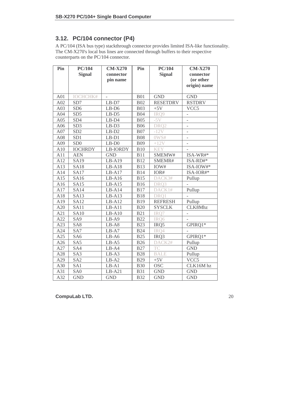# **3.12. PC/104 connector (P4)**

A PC/104 (ISA bus type) stackthrough connector provides limited ISA-like functionality. The CM-X270's local bus lines are connected through buffers to their respective counterparts on the PC/104 connector.

| Pin | PC/104            | <b>CM-X270</b>  | Pin        | <b>PC/104</b>      | <b>CM-X270</b> |
|-----|-------------------|-----------------|------------|--------------------|----------------|
|     | <b>Signal</b>     | connector       |            | <b>Signal</b>      | connector      |
|     |                   | pin name        |            |                    | (or other      |
|     |                   |                 |            |                    | origin) name   |
|     |                   |                 |            |                    |                |
| A01 | <b>IOCHCHK#</b>   |                 | <b>B01</b> | <b>GND</b>         | <b>GND</b>     |
| A02 | SD7               | $LB-D7$         | <b>B02</b> | <b>RESETDRV</b>    | <b>RSTDRV</b>  |
| A03 | SD <sub>6</sub>   | $LB-D6$         | <b>B03</b> | $+5V$              | VCC5           |
| A04 | SD <sub>5</sub>   | $LB-D5$         | <b>B04</b> | IRQ9               | -              |
| A05 | SD <sub>4</sub>   | $LB-D4$         | <b>B05</b> | $-5V$              | $\overline{a}$ |
| A06 | SD <sub>3</sub>   | $LB-D3$         | <b>B06</b> | DRQ <sub>2</sub>   | $\overline{a}$ |
| A07 | SD <sub>2</sub>   | $LB-D2$         | <b>B07</b> | $-12V$             | ÷,             |
| A08 | SD <sub>1</sub>   | $LB-D1$         | <b>B08</b> | 0WS#               | ÷,             |
| A09 | SD <sub>0</sub>   | $LB-D0$         | <b>B09</b> | $+12V$             |                |
| A10 | <b>IOCHRDY</b>    | <b>LB-IORDY</b> | <b>B10</b> | <b>KEY</b>         |                |
| A11 | <b>AEN</b>        | <b>GND</b>      | <b>B11</b> | SMEMW#             | ISA-WR#*       |
| A12 | SA19              | $LB- A19$       | <b>B12</b> | SMEMR#             | $ISA-RD#*$     |
| A13 | <b>SA18</b>       | $LB-A18$        | <b>B13</b> | IOW#               | ISA-IOW#*      |
| A14 | <b>SA17</b>       | $LB-A17$        | <b>B14</b> | IOR#               | ISA-IOR#*      |
| A15 | SA16              | $LB-Al6$        | <b>B15</b> | DACK3#             | Pullup         |
| A16 | <b>SA15</b>       | $LB-A15$        | <b>B16</b> | DRQ3               |                |
| A17 | <b>SA14</b>       | $LB-A14$        | <b>B17</b> | DACK1#             | Pullup         |
| A18 | <b>SA13</b>       | $LB-A13$        | <b>B18</b> | DRQ1               |                |
| A19 | <b>SA12</b>       | $LB-Al2$        | <b>B19</b> | <b>REFRESH</b>     | Pullup         |
| A20 | <b>SA11</b>       | $LB-A11$        | <b>B20</b> | <b>SYSCLK</b>      | CLK8Mhz        |
| A21 | $\overline{SA10}$ | $LB- A10$       | <b>B21</b> | IRQ7               | $\equiv$       |
| A22 | SA9               | $LB-A9$         | <b>B22</b> | IRQ6               |                |
| A23 | SA8               | $LB-AS$         | <b>B23</b> | IRQ5               | GPIRQ1*        |
| A24 | SA7               | $LB-A7$         | <b>B24</b> | IRQ4               |                |
| A25 | SA <sub>6</sub>   | $LB-AG$         | <b>B25</b> | IRQ3               | $GPIRQ1*$      |
| A26 | SA5               | $LB-AS$         | <b>B26</b> | DACK <sub>2#</sub> | Pullup         |
| A27 | SA4               | $LB-AA$         | <b>B27</b> | <b>TC</b>          | <b>GND</b>     |
| A28 | SA3               | $LB- A3$        | <b>B28</b> | <b>BALE</b>        | Pullup         |
| A29 | SA <sub>2</sub>   | $LB-A2$         | <b>B29</b> | $+5V$              | VCC5           |
| A30 | SA <sub>1</sub>   | $LB-A1$         | <b>B30</b> | <b>OSC</b>         | CLK16M hz      |
| A31 | SA <sub>0</sub>   | $LB-A21$        | <b>B31</b> | <b>GND</b>         | <b>GND</b>     |
| A32 | <b>GND</b>        | <b>GND</b>      | <b>B32</b> | <b>GND</b>         | <b>GND</b>     |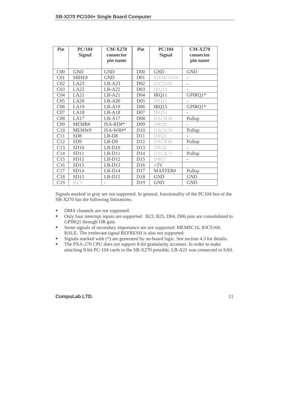| Pin             | <b>PC/104</b><br><b>Signal</b> | $CM-X270$<br>connector | Pin             | <b>PC/104</b><br><b>Signal</b> | $CM-X270$<br>connector |
|-----------------|--------------------------------|------------------------|-----------------|--------------------------------|------------------------|
|                 |                                | pin name               |                 |                                | pin name               |
|                 |                                |                        |                 |                                |                        |
| C <sub>00</sub> | <b>GND</b>                     | <b>GND</b>             | D00             | <b>GND</b>                     | <b>GND</b>             |
| C <sub>01</sub> | SBHE#                          | <b>GND</b>             | D <sub>01</sub> | MEMCS16#                       |                        |
| CO <sub>2</sub> | LA23                           | $LB-423$               | D <sub>02</sub> | <b>IOCS16#</b>                 | ÷                      |
| C <sub>03</sub> | LA22                           | $LB- A22$              | D <sub>03</sub> | IRQ10                          |                        |
| CO <sub>4</sub> | LA21                           | $LB-A21$               | D <sub>04</sub> | IRQ11                          | GPIRQ1*                |
| CO <sub>5</sub> | LA20                           | $LB- A20$              | D <sub>05</sub> | IRO12                          |                        |
| C <sub>06</sub> | LA19                           | $LB-Al9$               | D <sub>06</sub> | IRQ15                          | GPIRQ1*                |
| CO7             | LA18                           | $LB-A18$               | D07             | IRO14                          |                        |
| C <sub>08</sub> | LA17                           | $LB-A17$               | D <sub>08</sub> | DACK0#                         | Pullup                 |
| C <sub>09</sub> | MEMR#                          | $ISA-RD#*$             | D <sub>09</sub> | DR <sub>O0</sub>               | ÷.                     |
| C10             | MEMW#                          | ISA-WR#*               | D10             | DACK5#                         | Pullup                 |
| C11             | SD8                            | $LB-DS$                | D11             | DR <sub>O5</sub>               |                        |
| C12             | SD <sub>9</sub>                | $LB-D9$                | D12             | DACK6#                         | Pullup                 |
| C13             | SD10                           | $LB-D10$               | D <sub>13</sub> | DRQ6                           |                        |
| C14             | SD11                           | $LB-D11$               | D14             | DACK7#                         | Pullup                 |
| C15             | SD12                           | $LB-D12$               | D15             | DRO7                           |                        |
| C16             | SD13                           | $LB-D13$               | D16             | $+5V$                          |                        |
| C17             | SD14                           | $LB-D14$               | D17             | MASTER#                        | Pullup                 |
| C18             | SD15                           | $LB-D15$               | D18             | <b>GND</b>                     | <b>GND</b>             |
| C19             | <b>KEY</b>                     |                        | D <sub>19</sub> | <b>GND</b>                     | <b>GND</b>             |

Signals marked in gray are not supported. In general, functionality of the PC104 bus of the SB-X270 has the following limitations:

- DMA channels are not supported.
- Only four interrupt inputs are supported. B23, B25, D04, D06 pins are consolidated to GPIRQ1 through OR gate.
- Some signals of secondary importance are not supported: MEMSC16, IOCS16#, BALE. The irrelevant signal REFRESH is also not supported.
- Signals marked with (\*) are generated by on-board logic. See section 4.3 for details.
- The PXA-270 CPU does not support 8-bit granularity accesses. In order to make attaching 8-bit PC-104 cards to the SB-X270 possible, LB-A21 was connected to SA0.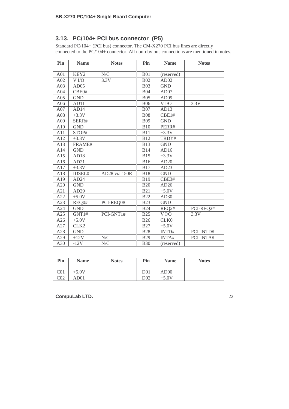# **3.13. PC/104+ PCI bus connector (P5)**

Standard PC/104+ (PCI bus) connector. The CM-X270 PCI bus lines are directly connected to the PC/104+ connector. All non-obvious connections are mentioned in notes.

| Pin | <b>Name</b>      | <b>Notes</b>                                         | Pin        | <b>Name</b>      | <b>Notes</b> |
|-----|------------------|------------------------------------------------------|------------|------------------|--------------|
|     |                  |                                                      |            |                  |              |
| A01 | KEY <sub>2</sub> | N/C                                                  | <b>B01</b> | (reserved)       |              |
| A02 | V I/O            | 3.3V                                                 | <b>B02</b> | AD02             |              |
| A03 | AD05             |                                                      | <b>B03</b> | <b>GND</b>       |              |
| A04 | CBE0#            |                                                      | <b>B04</b> | AD07             |              |
| A05 | <b>GND</b>       |                                                      | <b>B05</b> | AD <sub>09</sub> |              |
| A06 | AD11             |                                                      | <b>B06</b> | V I/O            | 3.3V         |
| A07 | AD14             |                                                      | <b>B07</b> | AD13             |              |
| A08 | $+3.3V$          |                                                      | <b>B08</b> | CBE1#            |              |
| A09 | SERR#            |                                                      | <b>B09</b> | <b>GND</b>       |              |
| A10 | <b>GND</b>       |                                                      | <b>B10</b> | PERR#            |              |
| A11 | STOP#            |                                                      | <b>B11</b> | $+3.3V$          |              |
| A12 | $+3.3V$          |                                                      | <b>B12</b> | TRDY#            |              |
| A13 | FRAME#           |                                                      | <b>B13</b> | <b>GND</b>       |              |
| A14 | <b>GND</b>       |                                                      | <b>B14</b> | AD <sub>16</sub> |              |
| A15 | AD18             |                                                      | <b>B15</b> | $+3.3V$          |              |
| A16 | AD21             |                                                      | <b>B16</b> | AD20             |              |
| A17 | $+3.3V$          |                                                      | <b>B17</b> | AD23             |              |
| A18 | <b>IDSEL0</b>    | AD28 via 150R                                        | <b>B18</b> | <b>GND</b>       |              |
| A19 | AD <sub>24</sub> |                                                      | <b>B19</b> | CBE3#            |              |
| A20 | <b>GND</b>       |                                                      | <b>B20</b> | AD26             |              |
| A21 | AD29             |                                                      | <b>B21</b> | $+5.0V$          |              |
| A22 | $+5.0V$          |                                                      | <b>B22</b> | AD30             |              |
| A23 | REQ0#            | PCI-REQ0#                                            | <b>B23</b> | <b>GND</b>       |              |
| A24 | <b>GND</b>       |                                                      | <b>B24</b> | REQ2#            | PCI-REQ2#    |
| A25 | GNT1#            | PCI-GNT1#                                            | <b>B25</b> | V I/O            | 3.3V         |
| A26 | $+5.0V$          |                                                      | <b>B26</b> | CLK <sub>0</sub> |              |
| A27 | CLK <sub>2</sub> |                                                      | <b>B27</b> | $+5.0V$          |              |
| A28 | <b>GND</b>       |                                                      | <b>B28</b> | INTD#            | PCI-INTD#    |
| A29 | $+12V$           | $\ensuremath{\text{N}}\xspace/\ensuremath{\text{C}}$ | <b>B29</b> | INTA#            | PCI-INTA#    |
| A30 | $-12V$           | N/C                                                  | <b>B30</b> | (reserved)       |              |

| Pin | <b>Name</b> | <b>Notes</b> | Pin | <b>Name</b> | <b>Notes</b> |
|-----|-------------|--------------|-----|-------------|--------------|
| C01 | $+5.0V$     |              | D01 | AD00        |              |
| C02 | AD01        |              | D02 | $+5.0V$     |              |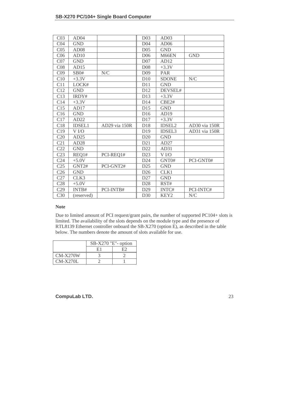| CO <sub>3</sub> | AD04              |               | D <sub>03</sub> | AD03             |               |
|-----------------|-------------------|---------------|-----------------|------------------|---------------|
| C <sub>04</sub> | <b>GND</b>        |               | D <sub>04</sub> | AD06             |               |
| CO <sub>5</sub> | AD08              |               | D <sub>05</sub> | <b>GND</b>       |               |
| C <sub>06</sub> | AD10              |               | D <sub>06</sub> | M66EN            | <b>GND</b>    |
| CO7             | <b>GND</b>        |               | D <sub>07</sub> | AD12             |               |
| CO8             | AD15              |               | D <sub>08</sub> | $+3.3V$          |               |
| C <sub>09</sub> | SB0#              | N/C           | D <sub>09</sub> | <b>PAR</b>       |               |
| C10             | $+3.3V$           |               | D10             | <b>SDONE</b>     | N/C           |
| C11             | LOCK#             |               | D11             | <b>GND</b>       |               |
| C12             | <b>GND</b>        |               | D <sub>12</sub> | DEVSEL#          |               |
| C13             | IRDY#             |               | D13             | $+3.3V$          |               |
| C14             | $+3.3V$           |               | D14             | CBE2#            |               |
| C15             | AD17              |               | D15             | <b>GND</b>       |               |
| C16             | <b>GND</b>        |               | D <sub>16</sub> | AD19             |               |
| C17             | AD22              |               | D17             | $+3.3V$          |               |
| C18             | <b>IDSEL1</b>     | AD29 via 150R | D18             | <b>IDSEL2</b>    | AD30 via 150R |
| C19             | V <sub>1</sub> /O |               | D <sub>19</sub> | <b>IDSEL3</b>    | AD31 via 150R |
| C20             | AD25              |               | D20             | <b>GND</b>       |               |
| C21             | AD28              |               | D21             | AD27             |               |
| C22             | <b>GND</b>        |               | D <sub>22</sub> | AD31             |               |
| C23             | REQ1#             | PCI-REQ1#     | D23             | V I/O            |               |
| C24             | $+5.0V$           |               | D24             | GNT0#            | PCI-GNT0#     |
| C <sub>25</sub> | GNT2#             | PCI-GNT2#     | D25             | <b>GND</b>       |               |
| C <sub>26</sub> | <b>GND</b>        |               | D26             | CLK1             |               |
| C27             | CLK3              |               | D27             | <b>GND</b>       |               |
| C28             | $+5.0V$           |               | D <sub>28</sub> | RST#             |               |
| C29             | INTB#             | PCI-INTB#     | D <sub>29</sub> | INTC#            | PCI-INTC#     |
| C30             | (reserved)        |               | D30             | KEY <sub>2</sub> | N/C           |

#### **Note**

Due to limited amount of PCI request/grant pairs, the number of supported PC104+ slots is limited. The availability of the slots depends on the module type and the presence of RTL8139 Ethernet controller onboard the SB-X270 (option E), as described in the table below. The numbers denote the amount of slots available for use.

|            | $SB-X270$ "E"- option |  |  |
|------------|-----------------------|--|--|
|            |                       |  |  |
| $CM-X270W$ |                       |  |  |
| $CM-X270L$ |                       |  |  |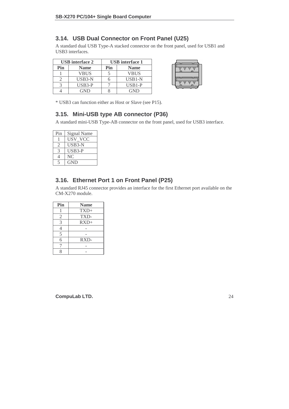### **3.14. USB Dual Connector on Front Panel (U25)**

A standard dual USB Type-A stacked connector on the front panel, used for USB1 and USB3 interfaces.

| <b>USB</b> interface 2 |             | <b>USB</b> interface 1 |             |
|------------------------|-------------|------------------------|-------------|
| Pin<br>Name            |             | Pin                    | <b>Name</b> |
|                        | <b>VBUS</b> |                        | <b>VBUS</b> |
|                        | USB3-N      |                        | USB1-N      |
|                        | USB3-P      |                        | USB1-P      |
|                        | GND         |                        | $TN$ [)     |

\* USB3 can function either as Host or Slave (see P15).

### **3.15. Mini-USB type AB connector (P36)**

A standard mini-USB Type-AB connector on the front panel, used for USB3 interface.

| Pin                  | Signal Name |
|----------------------|-------------|
|                      | USV VCC     |
| 2                    | USB3-N      |
| $\boldsymbol{\beta}$ | $USB3-P$    |
| 4                    | NC          |
|                      | GND         |

# **3.16. Ethernet Port 1 on Front Panel (P25)**

A standard RJ45 connector provides an interface for the first Ethernet port available on the CM-X270 module.

| Pin | <b>Name</b> |
|-----|-------------|
|     | $TXD+$      |
| 2   | TXD-        |
| 3   | $RXD+$      |
| 4   |             |
| 5   |             |
| 6   | RXD-        |
|     |             |
|     |             |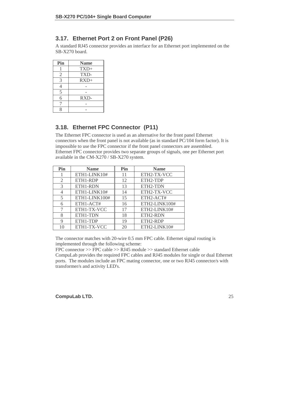### **3.17. Ethernet Port 2 on Front Panel (P26)**

A standard RJ45 connector provides an interface for an Ethernet port implemented on the SB-X270 board.

| Pin            | <b>Name</b> |
|----------------|-------------|
|                | TXD+        |
| 2              | TXD-        |
| 3              | $RXD+$      |
|                |             |
| $\overline{5}$ |             |
| 6              | RXD-        |
|                |             |
|                |             |

# **3.18. Ethernet FPC Connector (P11)**

The Ethernet FPC connector is used as an alternative for the front panel Ethernet connectors when the front panel is not available (as in standard PC/104 form factor). It is impossible to use the FPC connector if the front panel connectors are assembled. Ethernet FPC connector provides two separate groups of signals, one per Ethernet port available in the CM-X270 / SB-X270 system.

| Pin            | <b>Name</b>   | Pin | <b>Name</b>   |
|----------------|---------------|-----|---------------|
|                | ETH1-LINK10#  | 11  | ETH2-TX-VCC   |
| $\mathfrak{D}$ | ETH1-RDP      | 12  | ETH2-TDP      |
| 3              | ETH1-RDN      | 13  | ETH2-TDN      |
| 4              | ETH1-LINK10#  | 14  | ETH2-TX-VCC   |
| $\overline{5}$ | ETH1-LINK100# | 15  | ETH2-ACT#     |
| 6              | ETH1-ACT#     | 16  | ETH2-LINK100# |
|                | ETH1-TX-VCC   | 17  | ETH2-LINK10#  |
| 8              | ETH1-TDN      | 18  | ETH2-RDN      |
| 9              | ETH1-TDP      | 19  | ETH2-RDP      |
| 10             | ETH1-TX-VCC   | 20  | ETH2-LINK10#  |

The connector matches with 20-wire 0.5 mm FPC cable. Ethernet signal routing is implemented through the following scheme:

FPC connector >> FPC cable >> RJ45 module >> standard Ethernet cable CompuLab provides the required FPC cables and RJ45 modules for single or dual Ethernet ports. The modules include an FPC mating connector, one or two RJ45 connector/s with transformer/s and activity LED's.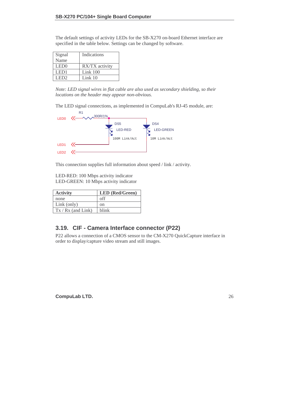The default settings of activity LEDs for the SB-X270 on-board Ethernet interface are specified in the table below. Settings can be changed by software.

| Signal<br>Name   | Indications    |
|------------------|----------------|
| LED <sub>0</sub> | RX/TX activity |
| LED <sub>1</sub> | Link $100$     |
| LED2             | Link $10$      |

*Note: LED signal wires in flat cable are also used as secondary shielding, so their locations on the header may appear non-obvious.* 

The LED signal connections, as implemented in CompuLab's RJ-45 module, are:



This connection supplies full information about speed / link / activity.

LED-RED: 100 Mbps activity indicator LED-GREEN: 10 Mbps activity indicator

| <b>Activity</b>      | <b>LED</b> (Red/Green) |  |
|----------------------|------------------------|--|
| none                 | off                    |  |
| Link (only)          | <sub>on</sub>          |  |
| $Tx / Rx$ (and Link) | <b>blink</b>           |  |

### **3.19. CIF - Camera Interface connector (P22)**

P22 allows a connection of a CMOS sensor to the CM-X270 QuickCapture interface in order to display/capture video stream and still images.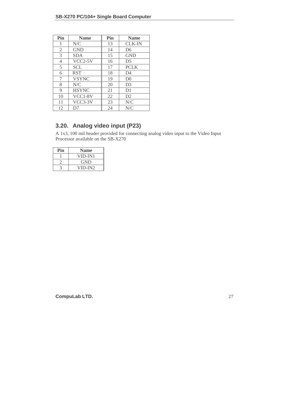| Pin | <b>Name</b>  | Pin | <b>Name</b>    |
|-----|--------------|-----|----------------|
|     | N/C          | 13  | <b>CLK-IN</b>  |
| 2   | <b>GND</b>   | 14  | D6             |
| 3   | <b>SDA</b>   | 15  | <b>GND</b>     |
| 4   | $VCC2-5V$    | 16  | D <sub>5</sub> |
| 5   | <b>SCL</b>   | 17  | <b>PCLK</b>    |
| 6   | <b>RST</b>   | 18  | D4             |
| 7   | <b>VSYNC</b> | 19  | D <sub>0</sub> |
| 8   | N/C          | 20  | D <sub>3</sub> |
| 9   | <b>HSYNC</b> | 21  | D <sub>1</sub> |
| 10  | VCC1-8V      | 22  | D2             |
| 11  | VCC3-3V      | 23  | N/C            |
| 12  | D7           | 24  | N/C            |

# **3.20. Analog video input (P23)**

A 1x3, 100 mil header provided for connecting analog video input to the Video Input Processor available on the SB-X270

| <b>Name</b> |
|-------------|
| VID-IN1     |
| <b>GND</b>  |
| VID-IN2     |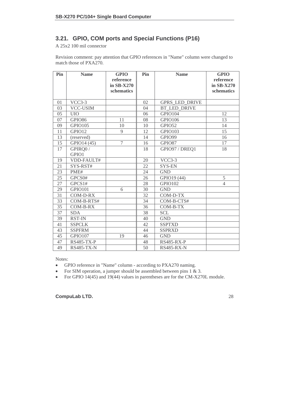# **3.21. GPIO, COM ports and Special Functions (P16)**

A 25x2 100 mil connector

Revision comment: pay attention that GPIO references in "Name" column were changed to match those of PXA270.

| Pin | <b>Name</b>        | <b>GPIO</b>             | Pin | <b>Name</b>           | <b>GPIO</b>              |
|-----|--------------------|-------------------------|-----|-----------------------|--------------------------|
|     |                    | reference<br>in SB-X270 |     |                       | reference<br>in SB-X270  |
|     |                    | schematics              |     |                       | schematics               |
|     |                    |                         |     |                       |                          |
| 01  | $VCC3-3$           |                         | 02  | <b>GPRS LED DRIVE</b> |                          |
| 03  | <b>VCC-USIM</b>    |                         | 04  | BT LED DRIVE          |                          |
| 05  | <b>UIO</b>         |                         | 06  | GPIO104               | 12                       |
| 07  | GPIO <sub>86</sub> | 11                      | 08  | GPIO106               | 13                       |
| 09  | GPIO105            | 10                      | 10  | GPIO52                | 14                       |
| 11  | GPIO12             | 9                       | 12  | GPIO103               | 15                       |
| 13  | (reserved)         |                         | 14  | GPIO99                | 16                       |
| 15  | GPIO14 (45)        | $\overline{7}$          | 16  | GPIO87                | 17                       |
| 17  | GPIRQ0/            |                         | 18  | GPIO97 / DREQ1        | 18                       |
|     | GPIO1              |                         |     |                       |                          |
| 19  | VDD-FAULT#         |                         | 20  | $VCC3-3$              |                          |
| 21  | SYS-RST#           |                         | 22  | SYS-EN                |                          |
| 23  | PME#               |                         | 24  | <b>GND</b>            |                          |
| 25  | GPCS0#             |                         | 26  | GPIO19 (44)           | 5                        |
| 27  | GPCS1#             |                         | 28  | <b>GPIO102</b>        | $\overline{\mathcal{A}}$ |
| 29  | GPIO101            | 6                       | 30  | <b>GND</b>            |                          |
| 31  | COM-D-RX           |                         | 32  | COM-D-TX              |                          |
| 33  | COM-B-RTS#         |                         | 34  | COM-B-CTS#            |                          |
| 35  | COM-B-RX           |                         | 36  | COM-B-TX              |                          |
| 37  | <b>SDA</b>         |                         | 38  | <b>SCL</b>            |                          |
| 39  | <b>RST-IN</b>      |                         | 40  | <b>GND</b>            |                          |
| 41  | <b>SSPCLK</b>      |                         | 42  | <b>SSPTXD</b>         |                          |
| 43  | <b>SSPFRM</b>      |                         | 44  | <b>SSPRXD</b>         |                          |
| 45  | GPIO107            | 19                      | 46  | <b>GND</b>            |                          |
| 47  | <b>RS485-TX-P</b>  |                         | 48  | <b>RS485-RX-P</b>     |                          |
| 49  | <b>RS485-TX-N</b>  |                         | 50  | <b>RS485-RX-N</b>     |                          |

Notes:

- GPIO reference in "Name" column according to PXA270 naming.
- For SIM operation, a jumper should be assembled between pins 1 & 3.
- For GPIO 14(45) and 19(44) values in parentheses are for the CM-X270L module.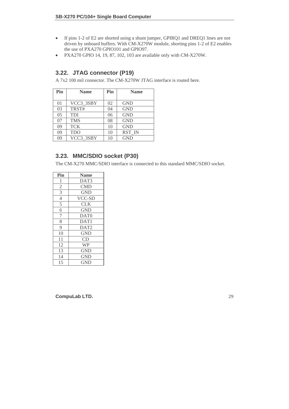- If pins 1-2 of E2 are shorted using a shunt jumper, GPIRQ1 and DREQ1 lines are not driven by onboard buffers. With CM-X270W module, shorting pins 1-2 of E2 enables the use of PXA270 GPIO101 and GPIO97.
- PXA270 GPIO 14, 19, 87, 102, 103 are available only with CM-X270W.

### **3.22. JTAG connector (P19)**

A 7x2 100 mil connector. The CM-X270W JTAG interface is routed here.

| Pin | <b>Name</b> | Pin | <b>Name</b> |
|-----|-------------|-----|-------------|
|     |             |     |             |
| 01  | VCC3_3SBY   | 02  | <b>GND</b>  |
| 03  | TRST#       | 04  | <b>GND</b>  |
| 05  | <b>TDI</b>  | 06  | <b>GND</b>  |
| 07  | <b>TMS</b>  | 08  | <b>GND</b>  |
| 09  | <b>TCK</b>  | 10  | <b>GND</b>  |
| 09  | <b>TDO</b>  | 10  | RST IN      |
| 09  | VCC3 3SBY   | 10  | <b>GND</b>  |

### **3.23. MMC/SDIO socket (P30)**

The CM-X270 MMC/SDIO interface is connected to this standard MMC/SDIO socket.

| Pin            | <b>Name</b>      |
|----------------|------------------|
| 1              | DAT3             |
| $\overline{2}$ | <b>CMD</b>       |
| $\overline{3}$ | <b>GND</b>       |
| $\overline{4}$ | VCC-SD           |
| $\overline{5}$ | <b>CLK</b>       |
| $\overline{6}$ | <b>GND</b>       |
| $\bar{7}$      | DAT <sub>0</sub> |
| $\bar{8}$      | DAT <sub>1</sub> |
| 9              | DAT <sub>2</sub> |
| 10             | <b>GND</b>       |
| 11             | CD               |
| 12             | <b>WP</b>        |
| 13             | <b>GND</b>       |
| 14             | <b>GND</b>       |
| 15             | <b>GND</b>       |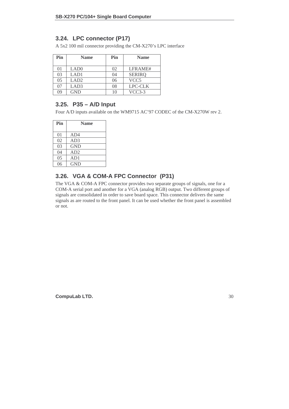### **3.24. LPC connector (P17)**

A 5x2 100 mil connector providing the CM-X270's LPC interface

| Pin            | <b>Name</b>      | Pin | <b>Name</b>      |
|----------------|------------------|-----|------------------|
|                |                  |     |                  |
| 01             | LAD <sub>0</sub> | 02  | LFRAME#          |
| 03             | LAD1             | 04  | <b>SERIRQ</b>    |
| 0 <sub>5</sub> | LAD <sub>2</sub> | 06  | VCC <sub>5</sub> |
| 07             | LAD <sub>3</sub> | 08  | LPC-CLK          |
| 09             | <b>GND</b>       |     | $VCC3-3$         |

# **3.25. P35 – A/D Input**

Four A/D inputs available on the WM9715 AC'97 CODEC of the CM-X270W rev 2.

| Pin | <b>Name</b>     |  |
|-----|-----------------|--|
|     |                 |  |
| 01  | AD <sub>4</sub> |  |
| 02  | AD3             |  |
| 03  | <b>GND</b>      |  |
| 04  | AD2             |  |
| 05  | AD1             |  |
| 06  | <b>GND</b>      |  |

# **3.26. VGA & COM-A FPC Connector (P31)**

The VGA & COM-A FPC connector provides two separate groups of signals, one for a COM-A serial port and another for a VGA (analog RGB) output. Two different groups of signals are consolidated in order to save board space. This connector delivers the same signals as are routed to the front panel. It can be used whether the front panel is assembled or not.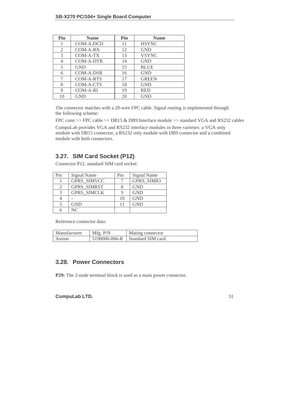| Pin            | <b>Name</b>      | Pin | <b>Name</b>  |
|----------------|------------------|-----|--------------|
|                | COM-A-DCD        | 11  | <b>HSYNC</b> |
| $\mathfrak{D}$ | $COM-A-RX$       | 12  | <b>GND</b>   |
| 3              | COM-A-TX         | 13  | <b>VSYNC</b> |
| 4              | <b>COM-A-DTR</b> | 14  | <b>GND</b>   |
| $\overline{5}$ | <b>GND</b>       | 15  | <b>BLUE</b>  |
| 6              | COM-A-DSR        | 16  | <b>GND</b>   |
|                | COM-A-RTS        | 17  | <b>GREEN</b> |
| 8              | COM-A-CTS        | 18  | <b>GND</b>   |
| 9              | COM-A-RI         | 19  | <b>RED</b>   |
| 10             | <b>GND</b>       | 20  | GND          |

The connector matches with a 20-wire FPC cable. Signal routing is implemented through the following scheme:

FPC conn >> FPC cable >> DB15 & DB9 Interface module >> standard VGA and RS232 cables

CompuLab provides VGA and RS232 interface modules in three varieties: a VGA only module with DB15 connector, a RS232 only module with DB9 connector and a combined module with both connectors.

### **3.27. SIM Card Socket (P12)**

Connector P12, standard SIM card socket:

| Pin           | Signal Name        | Pin | Signal Name       |
|---------------|--------------------|-----|-------------------|
|               | <b>GPRS SIMVCC</b> |     | <b>GPRS SIMIO</b> |
|               | <b>GPRS SIMRST</b> |     | <b>GND</b>        |
| $\mathcal{R}$ | <b>GPRS SIMCLK</b> |     | <b>GND</b>        |
|               |                    | 10  | <b>GND</b>        |
|               | <b>GND</b>         | 11  | <b>GND</b>        |
|               | NC                 |     |                   |

Reference connector data:

| Manufacturer | Mfg. P/N | Mating connector                       |
|--------------|----------|----------------------------------------|
| Astron       |          | $5190006 - 006 - R$ Standard SIM card. |

#### **3.28. Power Connectors**

**P29:** The 2-node terminal block is used as a main power connector.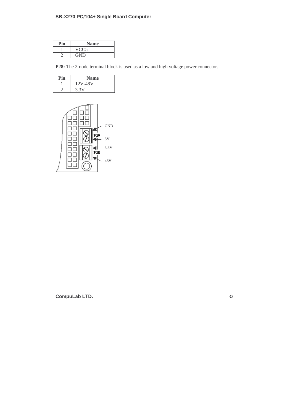| <b>Name</b> |
|-------------|
|             |
| GND         |

**P28:** The 2-node terminal block is used as a low and high voltage power connector.

| <b>Name</b> |
|-------------|
| 12V-48V     |
| 3.3V        |

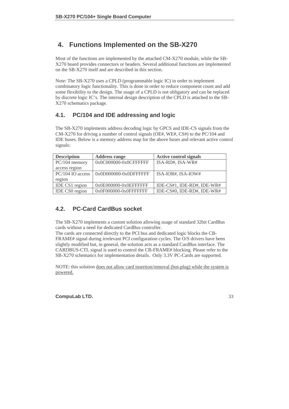# **4. Functions Implemented on the SB-X270**

Most of the functions are implemented by the attached CM-X270 module, while the SB-X270 board provides connectors or headers. Several additional functions are implemented on the SB-X270 itself and are described in this section.

Note: The SB-X270 uses a CPLD (programmable logic IC) in order to implement combinatory logic functionality. This is done in order to reduce component count and add some flexibility to the design. The usage of a CPLD is not obligatory and can be replaced by discrete logic IC's. The internal design description of the CPLD is attached to the SB-X270 schematics package.

# **4.1. PC/104 and IDE addressing and logic**

The SB-X270 implements address decoding logic by GPCS and IDE-CS signals from the CM-X270 for driving a number of control signals (OE#, WE#, CS#) to the PC/104 and IDE buses. Below is a memory address map for the above buses and relevant active control signals:

| <b>Description</b> | <b>Address range</b>    | <b>Active control signals</b> |
|--------------------|-------------------------|-------------------------------|
| $PC/104$ memory    | 0x0C000000-0x0CFFFFFF   | ISA-RD#, ISA-WR#              |
| access region      |                         |                               |
| PC/104 IO access   | $0x0D000000-0x0DFFFFFF$ | ISA-IOR#, ISA-IOW#            |
| region             |                         |                               |
| IDE CS1 region     | $0x0E000000-0x0EFFFFFF$ | IDE-CS#1, IDE-RD#, IDE-WR#    |
| IDE CS0 region     | 0x0F000000-0x0FFFFFFF   | IDE-CS#0, IDE-RD#, IDE-WR#    |

# **4.2. PC-Card CardBus socket**

The SB-X270 implements a custom solution allowing usage of standard 32bit CardBus cards without a need for dedicated CardBus controller.

The cards are connected directly to the PCI bus and dedicated logic blocks the CB-FRAME# signal during irrelevant PCI configuration cycles. The O/S drivers have been slightly modified but, in general, the solution acts as a standard CardBus interface. The CARDBUS-CTL signal is used to control the CB-FRAME# blocking. Please refer to the SB-X270 schematics for implementation details. Only 3.3V PC-Cards are supported.

NOTE: this solution does not allow card insertion/removal (hot-plug) while the system is powered.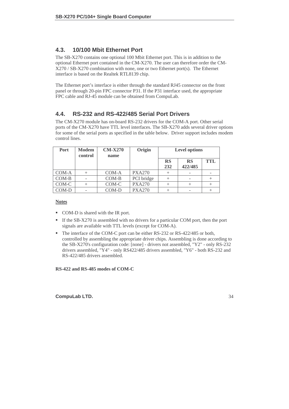### **4.3. 10/100 Mbit Ethernet Port**

The SB-X270 contains one optional 100 Mbit Ethernet port. This is in addition to the optional Ethernet port contained in the CM-X270. The user can therefore order the CM-X270 / SB-X270 combination with none, one or two Ethernet port(s). The Ethernet interface is based on the Realtek RTL8139 chip.

The Ethernet port's interface is either through the standard RJ45 connector on the front panel or through 20-pin FPC connector P31. If the P31 interface used, the appropriate FPC cable and RJ-45 module can be obtained from CompuLab.

### **4.4. RS-232 and RS-422/485 Serial Port Drivers**

The CM-X270 module has on-board RS-232 drivers for the COM-A port. Other serial ports of the CM-X270 have TTL level interfaces. The SB-X270 adds several driver options for some of the serial ports as specified in the table below. Driver support includes modem control lines.

| Port    | <b>Modem</b><br>control | <b>CM-X270</b><br>name | Origin        | <b>Level options</b> |                      |            |
|---------|-------------------------|------------------------|---------------|----------------------|----------------------|------------|
|         |                         |                        |               | <b>RS</b><br>232     | <b>RS</b><br>422/485 | <b>TTL</b> |
| COM-A   |                         | COM-A                  | <b>PXA270</b> |                      |                      |            |
| $COM-B$ |                         | $COM-B$                | PCI bridge    |                      |                      |            |
| COM-C   |                         | COM-C                  | <b>PXA270</b> |                      |                      | $^+$       |
| COM-D   |                         | COM-D                  | <b>PXA270</b> |                      |                      |            |

#### **Notes**

- COM-D is shared with the IR port.
- If the SB-X270 is assembled with no drivers for a particular COM port, then the port signals are available with TTL levels (except for COM-A).
- The interface of the COM-C port can be either RS-232 or RS-422/485 or both, controlled by assembling the appropriate driver chips. Assembling is done according to the SB-X270's configuration code: [none] - drivers not assembled, "Y2" - only RS-232 drivers assembled, "Y4" - only RS422/485 drivers assembled, "Y6" - both RS-232 and RS-422/485 drivers assembled.

**RS-422 and RS-485 modes of COM-C**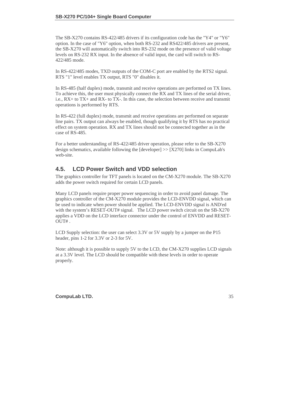The SB-X270 contains RS-422/485 drivers if its configuration code has the "Y4" or "Y6" option. In the case of "Y6" option, when both RS-232 and RS422/485 drivers are present, the SB-X270 will automatically switch into RS-232 mode on the presence of valid voltage levels on RS-232 RX input. In the absence of valid input, the card will switch to RS-422/485 mode.

In RS-422/485 modes, TXD outputs of the COM-C port are enabled by the RTS2 signal. RTS "1" level enables TX output, RTS "0" disables it.

In RS-485 (half duplex) mode, transmit and receive operations are performed on TX lines. To achieve this, the user must physically connect the RX and TX lines of the serial driver, i.e., RX+ to TX+ and RX- to TX-. In this case, the selection between receive and transmit operations is performed by RTS.

In RS-422 (full duplex) mode, transmit and receive operations are performed on separate line pairs. TX output can always be enabled, though qualifying it by RTS has no practical effect on system operation. RX and TX lines should not be connected together as in the case of RS-485.

For a better understanding of RS-422/485 driver operation, please refer to the SB-X270 design schematics, available following the [developer] >> [X270] links in CompuLab's web-site.

### **4.5. LCD Power Switch and VDD selection**

The graphics controller for TFT panels is located on the CM-X270 module. The SB-X270 adds the power switch required for certain LCD panels.

Many LCD panels require proper power sequencing in order to avoid panel damage. The graphics controller of the CM-X270 module provides the LCD-ENVDD signal, which can be used to indicate when power should be applied. The LCD-ENVDD signal is AND'ed with the system's RESET-OUT# signal. The LCD power switch circuit on the SB-X270 applies a VDD on the LCD interface connector under the control of ENVDD and RESET- $\overline{\text{OUT}}$  .

LCD Supply selection: the user can select 3.3V or 5V supply by a jumper on the P15 header, pins 1-2 for 3.3V or 2-3 for 5V.

Note: although it is possible to supply 5V to the LCD, the CM-X270 supplies LCD signals at a 3.3V level. The LCD should be compatible with these levels in order to operate properly.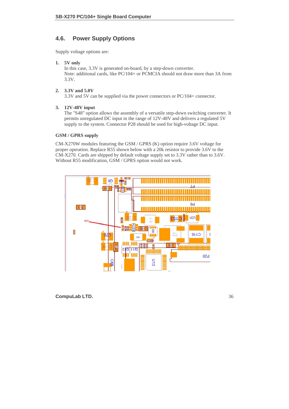### **4.6. Power Supply Options**

Supply voltage options are:

**1. 5V only** 

In this case, 3.3V is generated on-board, by a step-down converter. Note: additional cards, like PC/104+ or PCMCIA should not draw more than 3A from 3.3V.

**2. 3.3V and 5.0V** 

3.3V and 5V can be supplied via the power connectors or PC/104+ connector.

**3. 12V-48V input** 

The "S48" option allows the assembly of a versatile step-down switching converter. It permits unregulated DC input in the range of 12V-48V and delivers a regulated 5V supply to the system. Connector P28 should be used for high-voltage DC input.

#### **GSM / GPRS supply**

CM-X270W modules featuring the GSM / GPRS (K) option require 3.6V voltage for proper operation. Replace R55 shown below with a 20k resistor to provide 3.6V to the CM-X270. Cards are shipped by default voltage supply set to 3.3V rather than to 3.6V. Without R55 modification, GSM / GPRS option would not work.

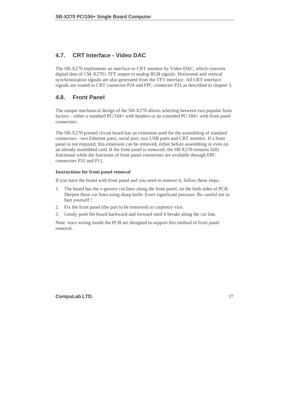# **4.7. CRT Interface - Video DAC**

The SB-X270 implements an interface to CRT monitor by Video DAC, which converts digital data of CM-X270's TFT output to analog RGB signals. Horizontal and vertical synchronization signals are also generated from the TFT interface. All CRT interface signals are routed to CRT connector P24 and FPC connector P31 as described in chapter 3.

# **4.8. Front Panel**

The unique mechanical design of the SB-X270 allows selecting between two popular form factors – either a standard PC/104+ with headers or an extended PC/104+ with front panel connectors.

The SB-X270 printed circuit board has an extension used for the assembling of standard connectors - two Ethernet ports, serial port, two USB ports and CRT monitor. If a front panel is not required, this extension can be removed, either before assembling or even on an already assembled card. If the front panel is removed, the SB-X270 remains fully functional while the functions of front panel connectors are available through FPC connectors P31 and P11.

#### **Instructions for front panel removal**

If you have the board with front panel and you need to remove it, follow these steps:

- 1. The board has the v-groove cut lines along the front panel, on the both sides of PCB. Deepen these cut lines using sharp knife. Exert significant pressure. Be careful not to hurt yourself !
- 2. Fix the front panel (the part to be removed) in carpentry vice.
- 3. Gently push the board backward and forward until it breaks along the cut line.

Note: trace wiring inside the PCB are designed to support this method of front panel removal.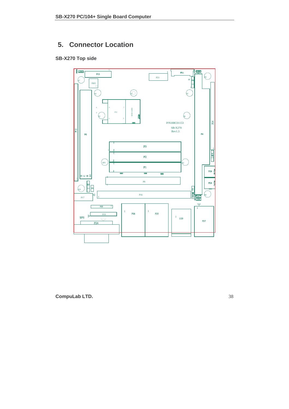# **5. Connector Location**

# **SB-X270 Top side**

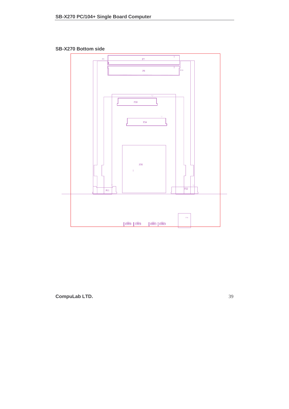

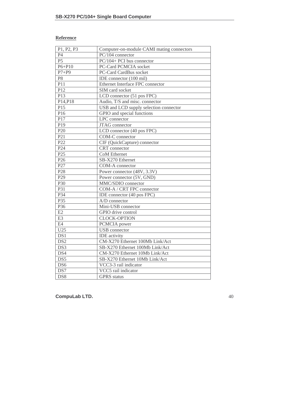# **Reference**

| P1, P2, P3      | Computer-on-module CAMI mating connectors |
|-----------------|-------------------------------------------|
| P4              | PC/104 connector                          |
| P <sub>5</sub>  | PC/104+ PCI bus connector                 |
| $P6+P10$        | PC-Card PCMCIA socket                     |
| $P7+P9$         | PC-Card CardBus socket                    |
| P <sub>8</sub>  | IDE connector (100 mil)                   |
| P11             | Ethernet Interface FPC connector          |
| P12             | SIM card socket                           |
| P13             | LCD connector (51 pos FPC)                |
| P14, P18        | Audio, T/S and misc. connector            |
| P15             | USB and LCD supply selection connector    |
| P16             | GPIO and special functions                |
| P17             | LPC connector                             |
| P19             | JTAG connector                            |
| P <sub>20</sub> | LCD connector (40 pos FPC)                |
| P21             | COM-C connector                           |
| P22             | CIF (QuickCapture) connector              |
| P24             | CRT connector                             |
| P <sub>25</sub> | <b>CoM</b> Ethernet                       |
| P <sub>26</sub> | SB-X270 Ethernet                          |
| P27             | COM-A connector                           |
| P <sub>28</sub> | Power connector (48V, 3.3V)               |
| P <sub>29</sub> | Power connector (5V, GND)                 |
| P30             | MMC/SDIO connector                        |
| P31             | COM-A / CRT FPC connector                 |
| P34             | IDE connector (40 pos FPC)                |
| P35             | $A/D$ connector                           |
| P36             | Mini-USB connector                        |
| E2              | GPIO drive control                        |
| E <sub>3</sub>  | <b>CLOCK-OPTION</b>                       |
| E4              | PCMCIA power                              |
| U25             | <b>USB</b> connector                      |
| DS1             | <b>IDE</b> activity                       |
| DS <sub>2</sub> | CM-X270 Ethernet 100Mb Link/Act           |
| DS3             | SB-X270 Ethernet 100Mb Link/Act           |
| DS4             | CM-X270 Ethernet 10Mb Link/Act            |
| DS5             | SB-X270 Ethernet 10Mb Link/Act            |
| DS <sub>6</sub> | VCC3-3 rail indicator                     |
| DS7             | VCC5 rail indicator                       |
| DS <sub>8</sub> | <b>GPRS</b> status                        |